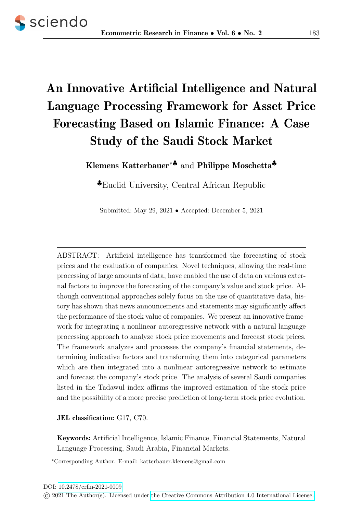# An Innovative Artificial Intelligence and Natural Language Processing Framework for Asset Price Forecasting Based on Islamic Finance: A Case Study of the Saudi Stock Market

Klemens Katterbauer<sup>∗</sup>♣ and Philippe Moschetta♣

♣Euclid University, Central African Republic

Submitted: May 29, 2021 • Accepted: December 5, 2021

ABSTRACT: Artificial intelligence has transformed the forecasting of stock prices and the evaluation of companies. Novel techniques, allowing the real-time processing of large amounts of data, have enabled the use of data on various external factors to improve the forecasting of the company's value and stock price. Although conventional approaches solely focus on the use of quantitative data, history has shown that news announcements and statements may significantly affect the performance of the stock value of companies. We present an innovative framework for integrating a nonlinear autoregressive network with a natural language processing approach to analyze stock price movements and forecast stock prices. The framework analyzes and processes the company's financial statements, determining indicative factors and transforming them into categorical parameters which are then integrated into a nonlinear autoregressive network to estimate and forecast the company's stock price. The analysis of several Saudi companies listed in the Tadawul index affirms the improved estimation of the stock price and the possibility of a more precise prediction of long-term stock price evolution.

JEL classification: G17, C70.

Keywords: Artificial Intelligence, Islamic Finance, Financial Statements, Natural Language Processing, Saudi Arabia, Financial Markets.

<sup>∗</sup>Corresponding Author. E-mail: katterbauer.klemens@gmail.com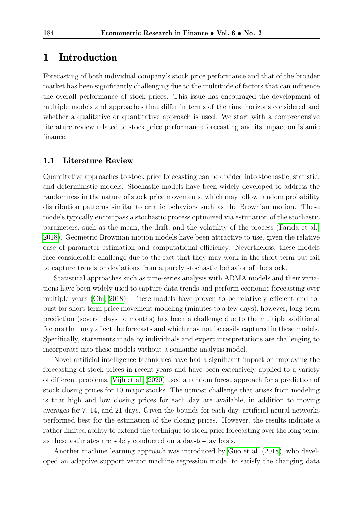# 1 Introduction

Forecasting of both individual company's stock price performance and that of the broader market has been significantly challenging due to the multitude of factors that can influence the overall performance of stock prices. This issue has encouraged the development of multiple models and approaches that differ in terms of the time horizons considered and whether a qualitative or quantitative approach is used. We start with a comprehensive literature review related to stock price performance forecasting and its impact on Islamic finance.

### 1.1 Literature Review

Quantitative approaches to stock price forecasting can be divided into stochastic, statistic, and deterministic models. Stochastic models have been widely developed to address the randomness in the nature of stock price movements, which may follow random probability distribution patterns similar to erratic behaviors such as the Brownian motion. These models typically encompass a stochastic process optimized via estimation of the stochastic parameters, such as the mean, the drift, and the volatility of the process [\(Farida et al.,](#page-10-0) [2018\)](#page-10-0). Geometric Brownian motion models have been attractive to use, given the relative ease of parameter estimation and computational efficiency. Nevertheless, these models face considerable challenge due to the fact that they may work in the short term but fail to capture trends or deviations from a purely stochastic behavior of the stock.

Statistical approaches such as time-series analysis with ARMA models and their variations have been widely used to capture data trends and perform economic forecasting over multiple years [\(Chi, 2018\)](#page-10-1). These models have proven to be relatively efficient and robust for short-term price movement modeling (minutes to a few days), however, long-term prediction (several days to months) has been a challenge due to the multiple additional factors that may affect the forecasts and which may not be easily captured in these models. Specifically, statements made by individuals and expert interpretations are challenging to incorporate into these models without a semantic analysis model.

Novel artificial intelligence techniques have had a significant impact on improving the forecasting of stock prices in recent years and have been extensively applied to a variety of different problems. [Vijh et al.](#page-11-0) [\(2020\)](#page-11-0) used a random forest approach for a prediction of stock closing prices for 10 major stocks. The utmost challenge that arises from modeling is that high and low closing prices for each day are available, in addition to moving averages for 7, 14, and 21 days. Given the bounds for each day, artificial neural networks performed best for the estimation of the closing prices. However, the results indicate a rather limited ability to extend the technique to stock price forecasting over the long term, as these estimates are solely conducted on a day-to-day basis.

Another machine learning approach was introduced by [Guo et al.](#page-10-2) [\(2018\)](#page-10-2), who developed an adaptive support vector machine regression model to satisfy the changing data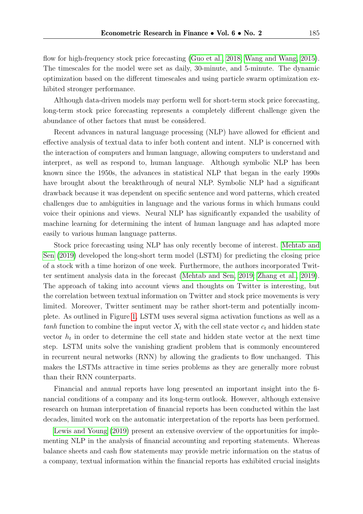flow for high-frequency stock price forecasting [\(Guo et al., 2018;](#page-10-2) [Wang and Wang, 2015\)](#page-11-1). The timescales for the model were set as daily, 30-minute, and 5-minute. The dynamic optimization based on the different timescales and using particle swarm optimization exhibited stronger performance.

Although data-driven models may perform well for short-term stock price forecasting, long-term stock price forecasting represents a completely different challenge given the abundance of other factors that must be considered.

Recent advances in natural language processing (NLP) have allowed for efficient and effective analysis of textual data to infer both content and intent. NLP is concerned with the interaction of computers and human language, allowing computers to understand and interpret, as well as respond to, human language. Although symbolic NLP has been known since the 1950s, the advances in statistical NLP that began in the early 1990s have brought about the breakthrough of neural NLP. Symbolic NLP had a significant drawback because it was dependent on specific sentence and word patterns, which created challenges due to ambiguities in language and the various forms in which humans could voice their opinions and views. Neural NLP has significantly expanded the usability of machine learning for determining the intent of human language and has adapted more easily to various human language patterns.

Stock price forecasting using NLP has only recently become of interest. [Mehtab and](#page-10-3) [Sen](#page-10-3) [\(2019\)](#page-10-3) developed the long-short term model (LSTM) for predicting the closing price of a stock with a time horizon of one week. Furthermore, the authors incorporated Twitter sentiment analysis data in the forecast [\(Mehtab and Sen, 2019;](#page-10-3) [Zhang et al., 2019\)](#page-11-2). The approach of taking into account views and thoughts on Twitter is interesting, but the correlation between textual information on Twitter and stock price movements is very limited. Moreover, Twitter sentiment may be rather short-term and potentially incomplete. As outlined in Figure [1,](#page-3-0) LSTM uses several sigma activation functions as well as a tanh function to combine the input vector  $X_t$  with the cell state vector  $c_t$  and hidden state vector  $h_t$  in order to determine the cell state and hidden state vector at the next time step. LSTM units solve the vanishing gradient problem that is commonly encountered in recurrent neural networks (RNN) by allowing the gradients to flow unchanged. This makes the LSTMs attractive in time series problems as they are generally more robust than their RNN counterparts.

Financial and annual reports have long presented an important insight into the financial conditions of a company and its long-term outlook. However, although extensive research on human interpretation of financial reports has been conducted within the last decades, limited work on the automatic interpretation of the reports has been performed.

[Lewis and Young](#page-10-4) [\(2019\)](#page-10-4) present an extensive overview of the opportunities for implementing NLP in the analysis of financial accounting and reporting statements. Whereas balance sheets and cash flow statements may provide metric information on the status of a company, textual information within the financial reports has exhibited crucial insights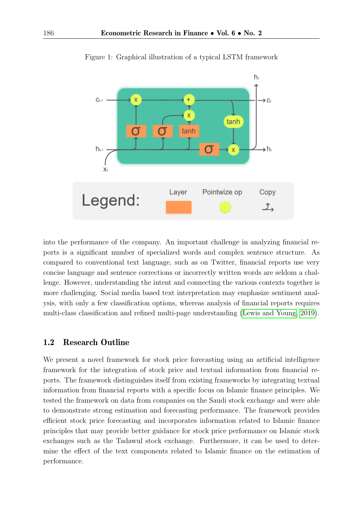<span id="page-3-0"></span>

Figure 1: Graphical illustration of a typical LSTM framework

into the performance of the company. An important challenge in analyzing financial reports is a significant number of specialized words and complex sentence structure. As compared to conventional text language, such as on Twitter, financial reports use very concise language and sentence corrections or incorrectly written words are seldom a challenge. However, understanding the intent and connecting the various contexts together is more challenging. Social media based text interpretation may emphasize sentiment analysis, with only a few classification options, whereas analysis of financial reports requires multi-class classification and refined multi-page understanding [\(Lewis and Young, 2019\)](#page-10-4).

### 1.2 Research Outline

We present a novel framework for stock price forecasting using an artificial intelligence framework for the integration of stock price and textual information from financial reports. The framework distinguishes itself from existing frameworks by integrating textual information from financial reports with a specific focus on Islamic finance principles. We tested the framework on data from companies on the Saudi stock exchange and were able to demonstrate strong estimation and forecasting performance. The framework provides efficient stock price forecasting and incorporates information related to Islamic finance principles that may provide better guidance for stock price performance on Islamic stock exchanges such as the Tadawul stock exchange. Furthermore, it can be used to determine the effect of the text components related to Islamic finance on the estimation of performance.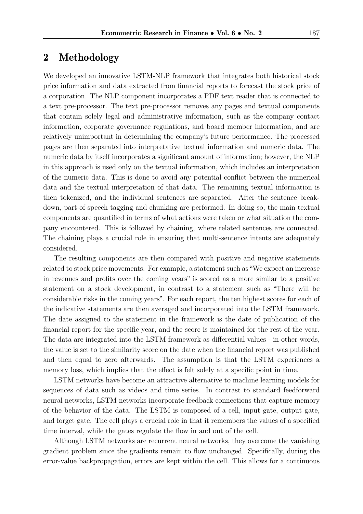# 2 Methodology

We developed an innovative LSTM-NLP framework that integrates both historical stock price information and data extracted from financial reports to forecast the stock price of a corporation. The NLP component incorporates a PDF text reader that is connected to a text pre-processor. The text pre-processor removes any pages and textual components that contain solely legal and administrative information, such as the company contact information, corporate governance regulations, and board member information, and are relatively unimportant in determining the company's future performance. The processed pages are then separated into interpretative textual information and numeric data. The numeric data by itself incorporates a significant amount of information; however, the NLP in this approach is used only on the textual information, which includes an interpretation of the numeric data. This is done to avoid any potential conflict between the numerical data and the textual interpretation of that data. The remaining textual information is then tokenized, and the individual sentences are separated. After the sentence breakdown, part-of-speech tagging and chunking are performed. In doing so, the main textual components are quantified in terms of what actions were taken or what situation the company encountered. This is followed by chaining, where related sentences are connected. The chaining plays a crucial role in ensuring that multi-sentence intents are adequately considered.

The resulting components are then compared with positive and negative statements related to stock price movements. For example, a statement such as"We expect an increase in revenues and profits over the coming years" is scored as a more similar to a positive statement on a stock development, in contrast to a statement such as "There will be considerable risks in the coming years". For each report, the ten highest scores for each of the indicative statements are then averaged and incorporated into the LSTM framework. The date assigned to the statement in the framework is the date of publication of the financial report for the specific year, and the score is maintained for the rest of the year. The data are integrated into the LSTM framework as differential values - in other words, the value is set to the similarity score on the date when the financial report was published and then equal to zero afterwards. The assumption is that the LSTM experiences a memory loss, which implies that the effect is felt solely at a specific point in time.

LSTM networks have become an attractive alternative to machine learning models for sequences of data such as videos and time series. In contrast to standard feedforward neural networks, LSTM networks incorporate feedback connections that capture memory of the behavior of the data. The LSTM is composed of a cell, input gate, output gate, and forget gate. The cell plays a crucial role in that it remembers the values of a specified time interval, while the gates regulate the flow in and out of the cell.

Although LSTM networks are recurrent neural networks, they overcome the vanishing gradient problem since the gradients remain to flow unchanged. Specifically, during the error-value backpropagation, errors are kept within the cell. This allows for a continuous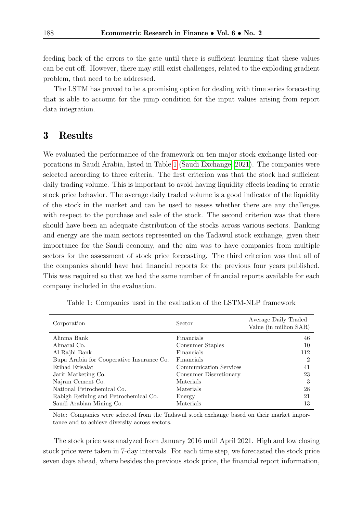feeding back of the errors to the gate until there is sufficient learning that these values can be cut off. However, there may still exist challenges, related to the exploding gradient problem, that need to be addressed.

The LSTM has proved to be a promising option for dealing with time series forecasting that is able to account for the jump condition for the input values arising from report data integration.

## 3 Results

We evaluated the performance of the framework on ten major stock exchange listed corporations in Saudi Arabia, listed in Table [1](#page-5-0) [\(Saudi Exchange, 2021\)](#page-10-5). The companies were selected according to three criteria. The first criterion was that the stock had sufficient daily trading volume. This is important to avoid having liquidity effects leading to erratic stock price behavior. The average daily traded volume is a good indicator of the liquidity of the stock in the market and can be used to assess whether there are any challenges with respect to the purchase and sale of the stock. The second criterion was that there should have been an adequate distribution of the stocks across various sectors. Banking and energy are the main sectors represented on the Tadawul stock exchange, given their importance for the Saudi economy, and the aim was to have companies from multiple sectors for the assessment of stock price forecasting. The third criterion was that all of the companies should have had financial reports for the previous four years published. This was required so that we had the same number of financial reports available for each company included in the evaluation.

<span id="page-5-0"></span>

| Corporation                               | Sector                 | Average Daily Traded<br>Value (in million SAR) |
|-------------------------------------------|------------------------|------------------------------------------------|
| Alinma Bank                               | Financials             | 46                                             |
| Almarai Co.                               | Consumer Staples       | 10                                             |
| Al Rajhi Bank                             | Financials             | 112                                            |
| Bupa Arabia for Cooperative Insurance Co. | Financials             | $\overline{2}$                                 |
| Etihad Etisalat                           | Communication Services | 41                                             |
| Jarir Marketing Co.                       | Consumer Discretionary | 23                                             |
| Najran Cement Co.                         | Materials              | 3                                              |
| National Petrochemical Co.                | Materials              | 28                                             |
| Rabigh Refining and Petrochemical Co.     | Energy                 | 21                                             |
| Saudi Arabian Mining Co.                  | Materials              | 13                                             |

Table 1: Companies used in the evaluation of the LSTM-NLP framework

Note: Companies were selected from the Tadawul stock exchange based on their market importance and to achieve diversity across sectors.

The stock price was analyzed from January 2016 until April 2021. High and low closing stock price were taken in 7-day intervals. For each time step, we forecasted the stock price seven days ahead, where besides the previous stock price, the financial report information,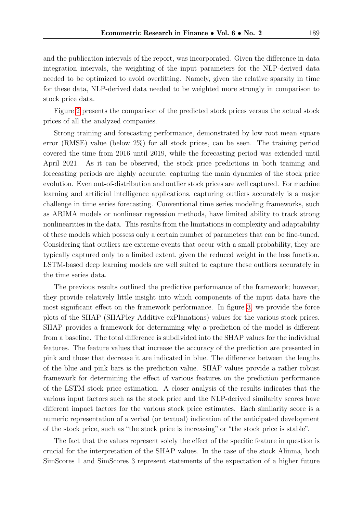and the publication intervals of the report, was incorporated. Given the difference in data integration intervals, the weighting of the input parameters for the NLP-derived data needed to be optimized to avoid overfitting. Namely, given the relative sparsity in time for these data, NLP-derived data needed to be weighted more strongly in comparison to stock price data.

Figure [2](#page-7-0) presents the comparison of the predicted stock prices versus the actual stock prices of all the analyzed companies.

Strong training and forecasting performance, demonstrated by low root mean square error (RMSE) value (below 2%) for all stock prices, can be seen. The training period covered the time from 2016 until 2019, while the forecasting period was extended until April 2021. As it can be observed, the stock price predictions in both training and forecasting periods are highly accurate, capturing the main dynamics of the stock price evolution. Even out-of-distribution and outlier stock prices are well captured. For machine learning and artificial intelligence applications, capturing outliers accurately is a major challenge in time series forecasting. Conventional time series modeling frameworks, such as ARIMA models or nonlinear regression methods, have limited ability to track strong nonlinearities in the data. This results from the limitations in complexity and adaptability of these models which possess only a certain number of parameters that can be fine-tuned. Considering that outliers are extreme events that occur with a small probability, they are typically captured only to a limited extent, given the reduced weight in the loss function. LSTM-based deep learning models are well suited to capture these outliers accurately in the time series data.

The previous results outlined the predictive performance of the framework; however, they provide relatively little insight into which components of the input data have the most significant effect on the framework performance. In figure [3,](#page-12-0) we provide the force plots of the SHAP (SHAPley Additive exPlanations) values for the various stock prices. SHAP provides a framework for determining why a prediction of the model is different from a baseline. The total difference is subdivided into the SHAP values for the individual features. The feature values that increase the accuracy of the prediction are presented in pink and those that decrease it are indicated in blue. The difference between the lengths of the blue and pink bars is the prediction value. SHAP values provide a rather robust framework for determining the effect of various features on the prediction performance of the LSTM stock price estimation. A closer analysis of the results indicates that the various input factors such as the stock price and the NLP-derived similarity scores have different impact factors for the various stock price estimates. Each similarity score is a numeric representation of a verbal (or textual) indication of the anticipated development of the stock price, such as "the stock price is increasing" or "the stock price is stable".

The fact that the values represent solely the effect of the specific feature in question is crucial for the interpretation of the SHAP values. In the case of the stock Alinma, both SimScores 1 and SimScores 3 represent statements of the expectation of a higher future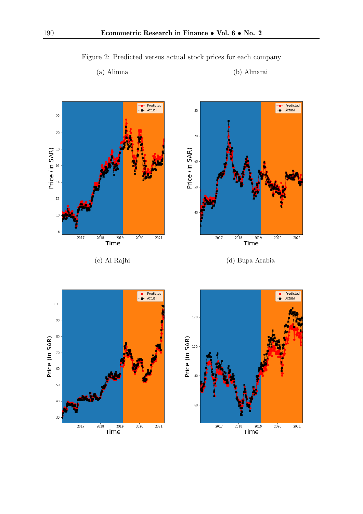

<span id="page-7-0"></span>Figure 2: Predicted versus actual stock prices for each company

### (a) Alinma (b) Almarai



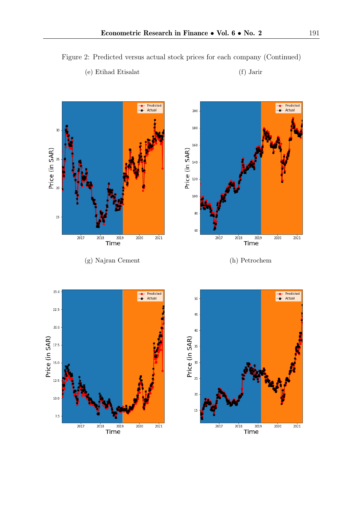

15

 $2017$ 

 $\frac{1}{2018}$ 

 $2019$ 

Time

 $2020$ 

 $2021$ 

Figure 2: Predicted versus actual stock prices for each company (Continued)

### (e) Etihad Etisalat (f) Jarir

 $7.5\,$ 

 $2017$ 

 $\overline{2018}$ 

 $Time$ 

 $20'20$ 

 $20^{7}_{21}$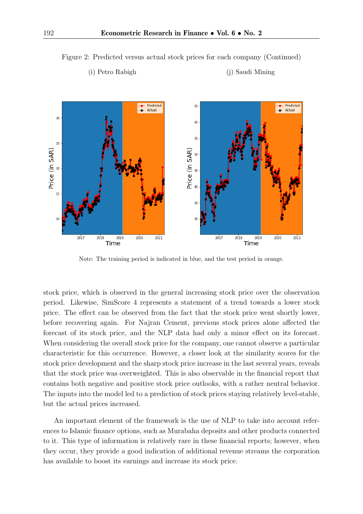

Figure 2: Predicted versus actual stock prices for each company (Continued)

(i) Petro Rabigh (j) Saudi Mining

### Note: The training period is indicated in blue, and the test period in orange.

stock price, which is observed in the general increasing stock price over the observation period. Likewise, SimScore 4 represents a statement of a trend towards a lower stock price. The effect can be observed from the fact that the stock price went shortly lower, before recovering again. For Najran Cement, previous stock prices alone affected the forecast of its stock price, and the NLP data had only a minor effect on its forecast. When considering the overall stock price for the company, one cannot observe a particular characteristic for this occurrence. However, a closer look at the similarity scores for the stock price development and the sharp stock price increase in the last several years, reveals that the stock price was overweighted. This is also observable in the financial report that contains both negative and positive stock price outlooks, with a rather neutral behavior. The inputs into the model led to a prediction of stock prices staying relatively level-stable, but the actual prices increased.

An important element of the framework is the use of NLP to take into account references to Islamic finance options, such as Murabaha deposits and other products connected to it. This type of information is relatively rare in these financial reports; however, when they occur, they provide a good indication of additional revenue streams the corporation has available to boost its earnings and increase its stock price.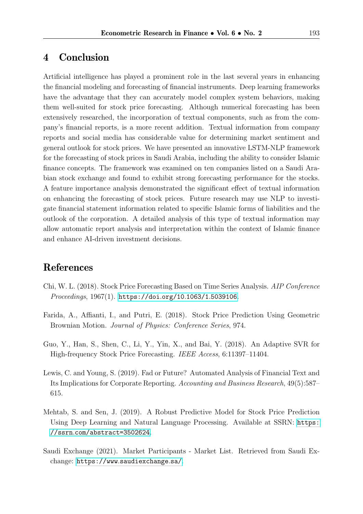# 4 Conclusion

Artificial intelligence has played a prominent role in the last several years in enhancing the financial modeling and forecasting of financial instruments. Deep learning frameworks have the advantage that they can accurately model complex system behaviors, making them well-suited for stock price forecasting. Although numerical forecasting has been extensively researched, the incorporation of textual components, such as from the company's financial reports, is a more recent addition. Textual information from company reports and social media has considerable value for determining market sentiment and general outlook for stock prices. We have presented an innovative LSTM-NLP framework for the forecasting of stock prices in Saudi Arabia, including the ability to consider Islamic finance concepts. The framework was examined on ten companies listed on a Saudi Arabian stock exchange and found to exhibit strong forecasting performance for the stocks. A feature importance analysis demonstrated the significant effect of textual information on enhancing the forecasting of stock prices. Future research may use NLP to investigate financial statement information related to specific Islamic forms of liabilities and the outlook of the corporation. A detailed analysis of this type of textual information may allow automatic report analysis and interpretation within the context of Islamic finance and enhance AI-driven investment decisions.

# References

- <span id="page-10-1"></span>Chi, W. L. (2018). Stock Price Forecasting Based on Time Series Analysis. AIP Conference Proceedings, 1967(1). [https://doi](https://doi.org/10.1063/1.5039106).org/10.1063/1.5039106.
- <span id="page-10-0"></span>Farida, A., Affianti, I., and Putri, E. (2018). Stock Price Prediction Using Geometric Brownian Motion. Journal of Physics: Conference Series, 974.
- <span id="page-10-2"></span>Guo, Y., Han, S., Shen, C., Li, Y., Yin, X., and Bai, Y. (2018). An Adaptive SVR for High-frequency Stock Price Forecasting. IEEE Access, 6:11397–11404.
- <span id="page-10-4"></span>Lewis, C. and Young, S. (2019). Fad or Future? Automated Analysis of Financial Text and Its Implications for Corporate Reporting. Accounting and Business Research, 49(5):587– 615.
- <span id="page-10-3"></span>Mehtab, S. and Sen, J. (2019). A Robust Predictive Model for Stock Price Prediction Using Deep Learning and Natural Language Processing. Available at SSRN: [https:](https://ssrn.com/abstract=3502624) //ssrn.[com/abstract=3502624](https://ssrn.com/abstract=3502624).
- <span id="page-10-5"></span>Saudi Exchange (2021). Market Participants - Market List. Retrieved from Saudi Exchange: https://www.[saudiexchange](https://www.saudiexchange.sa/).sa/.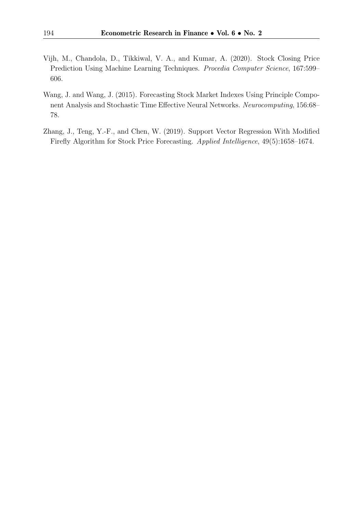- <span id="page-11-0"></span>Vijh, M., Chandola, D., Tikkiwal, V. A., and Kumar, A. (2020). Stock Closing Price Prediction Using Machine Learning Techniques. Procedia Computer Science, 167:599– 606.
- <span id="page-11-1"></span>Wang, J. and Wang, J. (2015). Forecasting Stock Market Indexes Using Principle Component Analysis and Stochastic Time Effective Neural Networks. Neurocomputing, 156:68– 78.
- <span id="page-11-2"></span>Zhang, J., Teng, Y.-F., and Chen, W. (2019). Support Vector Regression With Modified Firefly Algorithm for Stock Price Forecasting. Applied Intelligence, 49(5):1658–1674.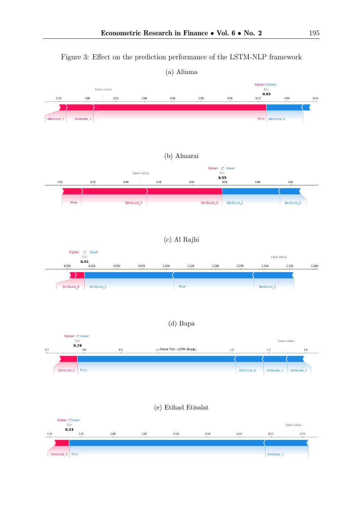<span id="page-12-0"></span>

Figure 3: Effect on the prediction performance of the LSTM-NLP framework